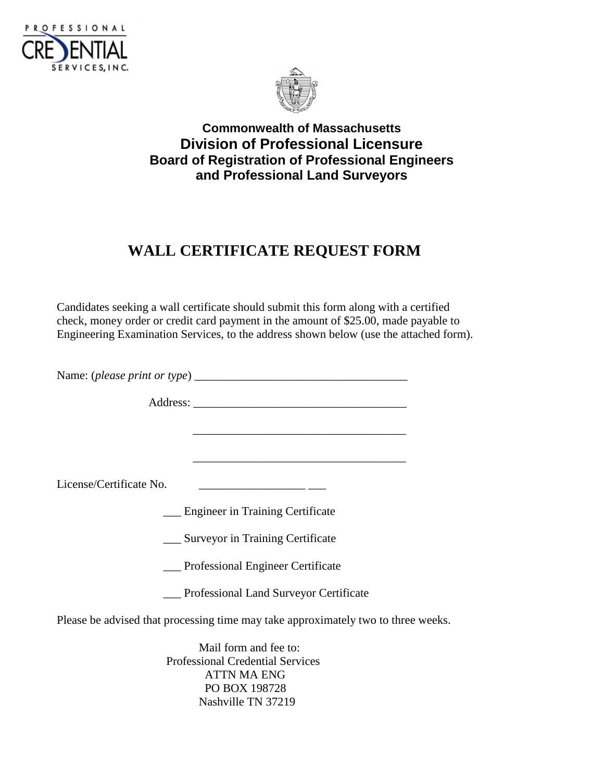



## **Commonwealth of Massachusetts Division of Professional Licensure Board of Registration of Professional Engineers and Professional Land Surveyors**

## **WALL CERTIFICATE REQUEST FORM**

Candidates seeking a wall certificate should submit this form along with a certified check, money order or credit card payment in the amount of \$25.00, made payable to Engineering Examination Services, to the address shown below (use the attached form).

Name: (*please print or type*) \_\_\_\_\_\_\_\_\_\_\_\_\_\_\_\_\_\_\_\_\_\_\_\_\_\_\_\_\_\_\_\_\_\_\_\_

Address:

License/Certificate No. \_\_\_\_\_\_\_\_\_\_\_\_\_\_\_\_\_\_ \_\_\_

\_\_\_ Engineer in Training Certificate

\_\_\_\_\_\_\_\_\_\_\_\_\_\_\_\_\_\_\_\_\_\_\_\_\_\_\_\_\_\_\_\_\_\_\_\_

\_\_\_ Surveyor in Training Certificate

\_\_\_ Professional Engineer Certificate

\_\_\_ Professional Land Surveyor Certificate

Please be advised that processing time may take approximately two to three weeks.

Mail form and fee to: Professional Credential Services ATTN MA ENG PO BOX 198728 Nashville TN 37219